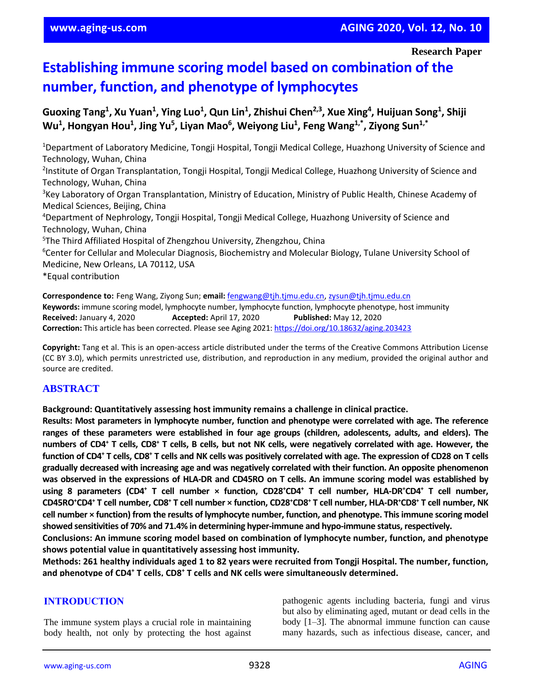# **Establishing immune scoring model based on combination of the number, function, and phenotype of lymphocytes**

**Guoxing Tang<sup>1</sup> , Xu Yuan<sup>1</sup> , Ying Luo<sup>1</sup> , Qun Lin<sup>1</sup> , Zhishui Chen2,3, Xue Xing<sup>4</sup> , Huijuan Song<sup>1</sup> , Shiji Wu<sup>1</sup> , Hongyan Hou<sup>1</sup> , Jing Yu<sup>5</sup> , Liyan Mao<sup>6</sup> , Weiyong Liu<sup>1</sup> , Feng Wang1,\*, Ziyong Sun1,\***

<sup>1</sup>Department of Laboratory Medicine, Tongji Hospital, Tongji Medical College, Huazhong University of Science and Technology, Wuhan, China <sup>2</sup>Institute of Organ Transplantation, Tongji Hospital, Tongji Medical College, Huazhong University of Science and Technology, Wuhan, China <sup>3</sup>Key Laboratory of Organ Transplantation, Ministry of Education, Ministry of Public Health, Chinese Academy of Medical Sciences, Beijing, China <sup>4</sup>Department of Nephrology, Tongji Hospital, Tongji Medical College, Huazhong University of Science and Technology, Wuhan, China <sup>5</sup>The Third Affiliated Hospital of Zhengzhou University, Zhengzhou, China <sup>6</sup>Center for Cellular and Molecular Diagnosis, Biochemistry and Molecular Biology, Tulane University School of Medicine, New Orleans, LA 70112, USA \*Equal contribution

**Correspondence to:** Feng Wang, Ziyong Sun; **email:** [fengwang@tjh.tjmu.edu.cn,](mailto:fengwang@tjh.tjmu.edu.cn) [zysun@tjh.tjmu.edu.cn](mailto:zysun@tjh.tjmu.edu.cn) **Keywords:** immune scoring model, lymphocyte number, lymphocyte function, lymphocyte phenotype, host immunity **Received:** January 4, 2020 **Accepted:** April 17, 2020 **Published:** May 12, 2020 **Correction:** This article has been corrected. Please see Aging 2021[: https://doi.org/10.18632/aging.203423](https://doi.org/10.18632/aging.203423)

**Copyright:** Tang et al. This is an open-access article distributed under the terms of the Creative Commons Attribution License (CC BY 3.0), which permits unrestricted use, distribution, and reproduction in any medium, provided the original author and source are credited.

## **ABSTRACT**

**Background: Quantitatively assessing host immunity remains a challenge in clinical practice.**

**Results: Most parameters in lymphocyte number, function and phenotype were correlated with age. The reference ranges of these parameters were established in four age groups (children, adolescents, adults, and elders). The** numbers of CD4<sup>+</sup> T cells, CD8<sup>+</sup> T cells, B cells, but not NK cells, were negatively correlated with age. However, the function of CD4<sup>+</sup> T cells, CD8<sup>+</sup> T cells and NK cells was positively correlated with age. The expression of CD28 on T cells **gradually decreased with increasing age and was negatively correlated with their function. An opposite phenomenon** was observed in the expressions of HLA-DR and CD45RO on T cells. An immune scoring model was established by using 8 parameters (CD4<sup>+</sup> T cell number × function, CD28<sup>+</sup>CD4<sup>+</sup> T cell number, HLA-DR<sup>+</sup>CD4<sup>+</sup> T cell number, CD45RO\*CD4\* T cell number, CD8\* T cell number × function, CD28\*CD8\* T cell number, HLA-DR\*CD8\* T cell number, NK **cell number × function) from the results of lymphocyte number, function, and phenotype. Thisimmune scoring model showed sensitivities of 70% and 71.4% in determining hyper-immune and hypo-immune status,respectively.**

**Conclusions: An immune scoring model based on combination of lymphocyte number, function, and phenotype shows potential value in quantitatively assessing host immunity.**

Methods: 261 healthy individuals aged 1 to 82 years were recruited from Tongji Hospital. The number, function, **and phenotype of CD4<sup>+</sup> T cells, CD8<sup>+</sup> T cells and NK cells were simultaneously determined.**

## **INTRODUCTION**

The immune system plays a crucial role in maintaining body health, not only by protecting the host against pathogenic agents including bacteria, fungi and virus but also by eliminating aged, mutant or dead cells in the body [1–3]. The abnormal immune function can cause many hazards, such as infectious disease, cancer, and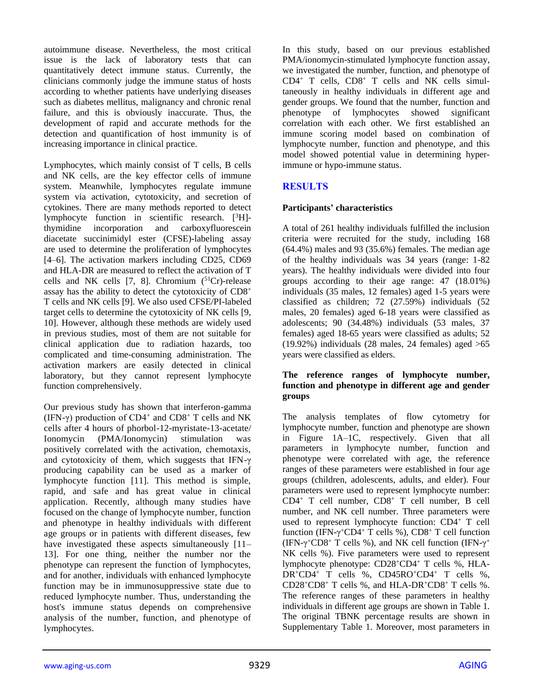autoimmune disease. Nevertheless, the most critical issue is the lack of laboratory tests that can quantitatively detect immune status. Currently, the clinicians commonly judge the immune status of hosts according to whether patients have underlying diseases such as diabetes mellitus, malignancy and chronic renal failure, and this is obviously inaccurate. Thus, the development of rapid and accurate methods for the detection and quantification of host immunity is of increasing importance in clinical practice.

Lymphocytes, which mainly consist of T cells, B cells and NK cells, are the key effector cells of immune system. Meanwhile, lymphocytes regulate immune system via activation, cytotoxicity, and secretion of cytokines. There are many methods reported to detect lymphocyte function in scientific research. [<sup>3</sup>H] thymidine incorporation and carboxyfluorescein diacetate succinimidyl ester (CFSE)-labeling assay are used to determine the proliferation of lymphocytes [4–6]. The activation markers including CD25, CD69 and HLA-DR are measured to reflect the activation of T cells and NK cells  $[7, 8]$ . Chromium  $(^{51}Cr)$ -release assay has the ability to detect the cytotoxicity of CD8<sup>+</sup> T cells and NK cells [9]. We also used CFSE/PI-labeled target cells to determine the cytotoxicity of NK cells [9, 10]. However, although these methods are widely used in previous studies, most of them are not suitable for clinical application due to radiation hazards, too complicated and time-consuming administration. The activation markers are easily detected in clinical laboratory, but they cannot represent lymphocyte function comprehensively.

Our previous study has shown that interferon-gamma (IFN- $\gamma$ ) production of CD4<sup>+</sup> and CD8<sup>+</sup> T cells and NK cells after 4 hours of phorbol-12-myristate-13-acetate/ Ionomycin (PMA/Ionomycin) stimulation was positively correlated with the activation, chemotaxis, and cytotoxicity of them, which suggests that IFN-γ producing capability can be used as a marker of lymphocyte function [11]. This method is simple, rapid, and safe and has great value in clinical application. Recently, although many studies have focused on the change of lymphocyte number, function and phenotype in healthy individuals with different age groups or in patients with different diseases, few have investigated these aspects simultaneously [11– 13]. For one thing, neither the number nor the phenotype can represent the function of lymphocytes, and for another, individuals with enhanced lymphocyte function may be in immunosuppressive state due to reduced lymphocyte number. Thus, understanding the host's immune status depends on comprehensive analysis of the number, function, and phenotype of lymphocytes.

In this study, based on our previous established PMA/ionomycin-stimulated lymphocyte function assay, we investigated the number, function, and phenotype of  $CD4^+$  T cells,  $CD8^+$  T cells and NK cells simultaneously in healthy individuals in different age and gender groups. We found that the number, function and phenotype of lymphocytes showed significant correlation with each other. We first established an immune scoring model based on combination of lymphocyte number, function and phenotype, and this model showed potential value in determining hyperimmune or hypo-immune status.

## **RESULTS**

#### **Participants' characteristics**

A total of 261 healthy individuals fulfilled the inclusion criteria were recruited for the study, including 168 (64.4%) males and 93 (35.6%) females. The median age of the healthy individuals was 34 years (range: 1-82 years). The healthy individuals were divided into four groups according to their age range: 47 (18.01%) individuals (35 males, 12 females) aged 1-5 years were classified as children; 72 (27.59%) individuals (52 males, 20 females) aged 6-18 years were classified as adolescents; 90 (34.48%) individuals (53 males, 37 females) aged 18-65 years were classified as adults; 52  $(19.92\%)$  individuals  $(28 \text{ males}, 24 \text{ females})$  aged  $>65$ years were classified as elders.

#### **The reference ranges of lymphocyte number, function and phenotype in different age and gender groups**

The analysis templates of flow cytometry for lymphocyte number, function and phenotype are shown in Figure 1A–1C, respectively. Given that all parameters in lymphocyte number, function and phenotype were correlated with age, the reference ranges of these parameters were established in four age groups (children, adolescents, adults, and elder). Four parameters were used to represent lymphocyte number: CD4<sup>+</sup> T cell number, CD8<sup>+</sup> T cell number, B cell number, and NK cell number. Three parameters were used to represent lymphocyte function: CD4<sup>+</sup> T cell function (IFN- $\gamma$ <sup>+</sup>CD4<sup>+</sup> T cells %), CD8<sup>+</sup> T cell function (IFN- $\gamma$ <sup>+</sup>CD8<sup>+</sup> T cells %), and NK cell function (IFN- $\gamma$ <sup>+</sup> NK cells %). Five parameters were used to represent lymphocyte phenotype: CD28<sup>+</sup>CD4<sup>+</sup> T cells %, HLA-DR<sup>+</sup>CD4<sup>+</sup> T cells %, CD45RO<sup>+</sup>CD4<sup>+</sup> T cells %,  $CD28^{\dagger}CD8^{\dagger}$  T cells %, and HLA-DR<sup>+</sup>CD8<sup>+</sup> T cells %. The reference ranges of these parameters in healthy individuals in different age groups are shown in Table 1. The original TBNK percentage results are shown in Supplementary Table 1. Moreover, most parameters in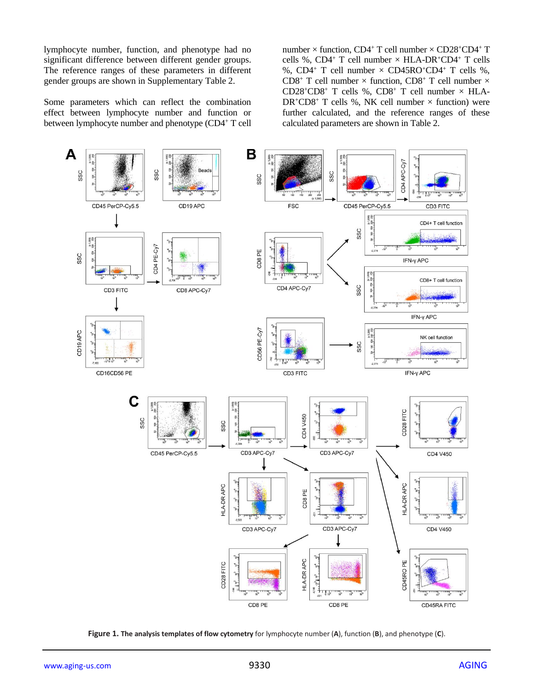lymphocyte number, function, and phenotype had no significant difference between different gender groups. The reference ranges of these parameters in different gender groups are shown in Supplementary Table 2.

Some parameters which can reflect the combination effect between lymphocyte number and function or between lymphocyte number and phenotype (CD4<sup>+</sup> T cell number  $\times$  function, CD4<sup>+</sup> T cell number  $\times$  CD28<sup>+</sup>CD4<sup>+</sup> T cells %, CD4<sup>+</sup> T cell number  $\times$  HLA-DR<sup>+</sup>CD4<sup>+</sup> T cells %, CD4<sup>+</sup> T cell number  $\times$  CD45RO<sup>+</sup>CD4<sup>+</sup> T cells %, CD8<sup>+</sup> T cell number  $\times$  function, CD8<sup>+</sup> T cell number  $\times$ CD28<sup>+</sup>CD8<sup>+</sup> T cells %, CD8<sup>+</sup> T cell number  $\times$  HLA- $DR^+CD8^+$  T cells %, NK cell number  $\times$  function) were further calculated, and the reference ranges of these calculated parameters are shown in Table 2.



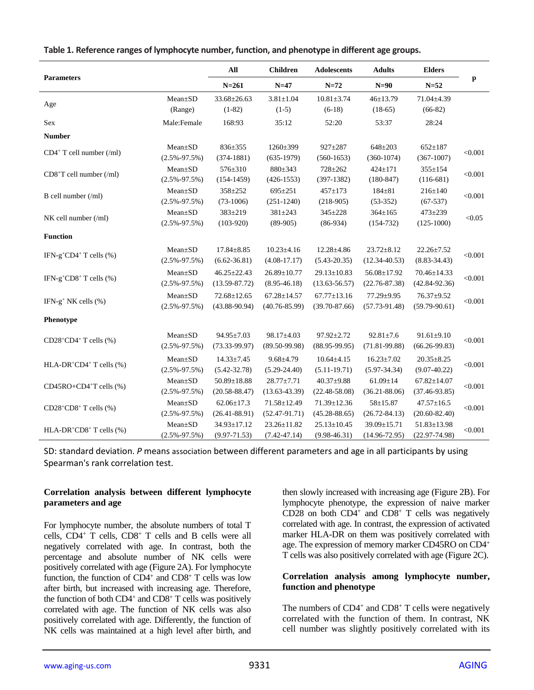| <b>Parameters</b>                                    |                               | All                                    | <b>Children</b>                        | <b>Adolescents</b>                     | <b>Adults</b>                         | <b>Elders</b>                          |         |
|------------------------------------------------------|-------------------------------|----------------------------------------|----------------------------------------|----------------------------------------|---------------------------------------|----------------------------------------|---------|
|                                                      |                               | $N = 261$                              | $N=47$                                 | $N=72$                                 | $N=90$                                | $N=52$                                 | p       |
| Age                                                  | Mean±SD<br>(Range)            | 33.68±26.63<br>$(1-82)$                | $3.81 \pm 1.04$<br>$(1-5)$             | $10.81 \pm 3.74$<br>$(6-18)$           | $46 + 13.79$<br>$(18-65)$             | 71.04±4.39<br>$(66-82)$                |         |
| Sex                                                  | Male:Female                   | 168:93                                 | 35:12                                  | 52:20                                  | 53:37                                 | 28:24                                  |         |
| <b>Number</b>                                        |                               |                                        |                                        |                                        |                                       |                                        |         |
| $CD4+$ T cell number (/ml)                           | Mean±SD<br>$(2.5\% - 97.5\%)$ | 836±355<br>$(374-1881)$                | 1260±399<br>$(635-1979)$               | $927 \pm 287$<br>$(560-1653)$          | $648 + 203$<br>$(360-1074)$           | $652 \pm 187$<br>$(367-1007)$          | < 0.001 |
| $CD8+T$ cell number (/ml)                            | Mean±SD<br>$(2.5\% - 97.5\%)$ | 576±310<br>$(154-1459)$                | 880±343<br>$(426-1553)$                | 728±262<br>$(397-1382)$                | 424±171<br>$(180 - 847)$              | 355±154<br>$(116-681)$                 | < 0.001 |
| B cell number $(\text{/ml})$                         | Mean±SD<br>$(2.5\% - 97.5\%)$ | $358 + 252$<br>$(73-1006)$             | $695 \pm 251$<br>$(251-1240)$          | $457 + 173$<br>$(218-905)$             | $184 + 81$<br>$(53-352)$              | $216 \pm 140$<br>$(67-537)$            | < 0.001 |
| $NK$ cell number $(\text{/ml})$                      | Mean±SD<br>$(2.5\% - 97.5\%)$ | 383±219<br>$(103-920)$                 | 381±243<br>$(89-905)$                  | 345±228<br>$(86-934)$                  | $364 \pm 165$<br>$(154-732)$          | 473±239<br>$(125-1000)$                | < 0.05  |
| <b>Function</b>                                      |                               |                                        |                                        |                                        |                                       |                                        |         |
| IFN-g <sup>+</sup> CD4 <sup>+</sup> T cells $(\% )$  | Mean±SD<br>$(2.5\% - 97.5\%)$ | $17.84 \pm 8.85$<br>$(6.62 - 36.81)$   | $10.23 \pm 4.16$<br>$(4.08-17.17)$     | $12.28 \pm 4.86$<br>$(5.43 - 20.35)$   | $23.72 \pm 8.12$<br>$(12.34 - 40.53)$ | $22.26 \pm 7.52$<br>$(8.83 - 34.43)$   | < 0.001 |
| IFN-g <sup>+</sup> CD8 <sup>+</sup> T cells (%)      | Mean±SD<br>$(2.5\% - 97.5\%)$ | $46.25 \pm 22.43$<br>$(13.59 - 87.72)$ | 26.89±10.77<br>$(8.95 - 46.18)$        | $29.13 \pm 10.83$<br>$(13.63 - 56.57)$ | 56.08±17.92<br>$(22.76 - 87.38)$      | 70.46±14.33<br>$(42.84 - 92.36)$       | < 0.001 |
| IFN-g <sup>+</sup> NK cells (%)                      | Mean±SD<br>$(2.5\% - 97.5\%)$ | 72.68±12.65<br>$(43.88 - 90.94)$       | $67.28 \pm 14.57$<br>$(40.76 - 85.99)$ | $67.77 \pm 13.16$<br>$(39.70 - 87.66)$ | 77.29±9.95<br>$(57.73-91.48)$         | $76.37 + 9.52$<br>$(59.79-90.61)$      | < 0.001 |
| Phenotype                                            |                               |                                        |                                        |                                        |                                       |                                        |         |
| $CD28+CD4+T$ cells $(\%)$                            | Mean±SD<br>$(2.5\% - 97.5\%)$ | $94.95 \pm 7.03$<br>$(73.33 - 99.97)$  | 98.17±4.03<br>$(89.50 - 99.98)$        | $97.92 \pm 2.72$<br>$(88.95 - 99.95)$  | $92.81 \pm 7.6$<br>$(71.81 - 99.88)$  | $91.61 \pm 9.10$<br>$(66.26-99.83)$    | < 0.001 |
| HLA-DR <sup>+</sup> CD4 <sup>+</sup> T cells $(\% )$ | Mean±SD<br>$(2.5\% - 97.5\%)$ | $14.33 \pm 7.45$<br>$(5.42 - 32.78)$   | $9.68{\pm}4.79$<br>$(5.29 - 24.40)$    | $10.64 \pm 4.15$<br>$(5.11-19.71)$     | $16.23 \pm 7.02$<br>$(5.97 - 34.34)$  | $20.35 \pm 8.25$<br>$(9.07 - 40.22)$   | < 0.001 |
| $CD45RO+CD4+T$ cells $(\%)$                          | Mean±SD<br>$(2.5\% - 97.5\%)$ | $50.89 \pm 18.88$<br>$(20.58 - 88.47)$ | $28.77 \pm 7.71$<br>$(13.63 - 43.39)$  | $40.37 + 9.88$<br>$(22.48 - 58.08)$    | $61.09 \pm 14$<br>$(36.21 - 88.06)$   | $67.82{\pm}14.07$<br>$(37.46 - 93.85)$ | < 0.001 |
| $CD28+CD8+T$ cells $(\%)$                            | Mean±SD<br>$(2.5\% - 97.5\%)$ | $62.06 \pm 17.3$<br>$(26.41 - 88.91)$  | 71.58±12.49<br>$(52.47 - 91.71)$       | 71.39±12.36<br>$(45.28 - 88.65)$       | $58 + 15.87$<br>$(26.72 - 84.13)$     | $47.57 \pm 16.5$<br>$(20.60 - 82.40)$  | < 0.001 |
| HLA-DR <sup>+</sup> CD8 <sup>+</sup> T cells $(\%)$  | Mean±SD<br>$(2.5\% - 97.5\%)$ | 34.93±17.12<br>$(9.97 - 71.53)$        | 23.26±11.82<br>$(7.42 - 47.14)$        | $25.13 \pm 10.45$<br>$(9.98 - 46.31)$  | 39.09±15.71<br>$(14.96 - 72.95)$      | $51.83 \pm 13.98$<br>$(22.97 - 74.98)$ | < 0.001 |

#### **Table 1. Reference ranges of lymphocyte number, function, and phenotype in different age groups.**

SD: standard deviation. *P* means association between different parameters and age in all participants by using Spearman's rank correlation test.

#### **Correlation analysis between different lymphocyte parameters and age**

For lymphocyte number, the absolute numbers of total T cells, CD4<sup>+</sup> T cells, CD8<sup>+</sup> T cells and B cells were all negatively correlated with age. In contrast, both the percentage and absolute number of NK cells were positively correlated with age (Figure 2A). For lymphocyte function, the function of  $CD4^+$  and  $CD8^+$  T cells was low after birth, but increased with increasing age. Therefore, the function of both  $CD4^+$  and  $CD8^+$  T cells was positively correlated with age. The function of NK cells was also positively correlated with age. Differently, the function of NK cells was maintained at a high level after birth, and then slowly increased with increasing age (Figure 2B). For lymphocyte phenotype, the expression of naive marker CD28 on both  $CD4^+$  and  $CD8^+$  T cells was negatively correlated with age. In contrast, the expression of activated marker HLA-DR on them was positively correlated with age. The expression of memory marker CD45RO on CD4<sup>+</sup> T cells was also positively correlated with age (Figure 2C).

#### **Correlation analysis among lymphocyte number, function and phenotype**

The numbers of  $CD4^+$  and  $CD8^+$  T cells were negatively correlated with the function of them. In contrast, NK cell number was slightly positively correlated with its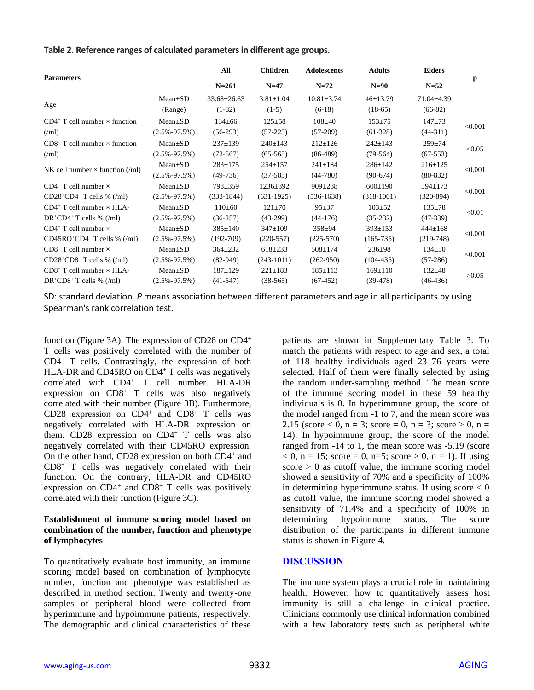| <b>Parameters</b>                        |                    | All             | <b>Children</b> | <b>Adolescents</b> | <b>Adults</b> | <b>Elders</b>  |         |  |
|------------------------------------------|--------------------|-----------------|-----------------|--------------------|---------------|----------------|---------|--|
|                                          |                    | $N = 261$       | $N=47$          |                    | $N=90$        | $N=52$         | p       |  |
|                                          | $Mean+SD$          | $33.68 + 26.63$ | $3.81 + 1.04$   | $10.81 + 3.74$     | $46+13.79$    | $71.04 + 4.39$ |         |  |
| Age                                      | (Range)            | $(1-82)$        | $(1-5)$         | $(6-18)$           | $(18-65)$     | $(66-82)$      |         |  |
| $CD4^+$ T cell number $\times$ function  | $Mean+SD$          | $134 + 66$      | $125 + 58$      | $108+40$           | $153 + 75$    | $147 + 73$     |         |  |
| (Mml)                                    | $(2.5\% - 97.5\%)$ | $(56-293)$      | $(57-225)$      | $(57-209)$         | $(61-328)$    | $(44-311)$     | < 0.001 |  |
| $CD8^+$ T cell number $\times$ function  | $Mean \pm SD$      | $237+139$       | $240 \pm 143$   | $212+126$          | $242 \pm 143$ | $259 + 74$     |         |  |
| (Mml)                                    | $(2.5\% - 97.5\%)$ | $(72 - 567)$    | $(65-565)$      | $(86-489)$         | $(79-564)$    | $(67-553)$     | < 0.05  |  |
|                                          | $Mean+SD$          | $283 \pm 175$   | $254 \pm 157$   | $241 \pm 184$      | $286 \pm 142$ | $216 \pm 125$  | < 0.001 |  |
| NK cell number $\times$ function (/ml)   | $(2.5\% - 97.5\%)$ | $(49-736)$      | $(37-585)$      | $(44-780)$         | $(90-674)$    | $(80-832)$     |         |  |
| $CD4^+$ T cell number $\times$           | $Mean \pm SD$      | $798 \pm 359$   | $1236 \pm 392$  | $909 \pm 288$      | $600 \pm 190$ | $594+173$      |         |  |
| $CD28^{\circ}CD4^{\circ}T$ cells % (/ml) | $(2.5\% - 97.5\%)$ | $(333-1844)$    | $(631-1925)$    | $(536-1638)$       | $(318-1001)$  | $(320-894)$    | < 0.001 |  |
| $CD4^+$ T cell number $\times$ HLA-      | $Mean+SD$          | $110+60$        | $121 + 70$      | $95 + 37$          | $103 + 52$    | $135+78$       | < 0.01  |  |
| $DR^+CD4^+$ T cells % (/ml)              | $(2.5\% - 97.5\%)$ | $(36-257)$      | $(43-299)$      | $(44-176)$         | $(35-232)$    | $(47-339)$     |         |  |
| $CD4^+$ T cell number $\times$           | $Mean+SD$          | $385+140$       | $347 \pm 109$   | $358 + 94$         | $393 \pm 153$ | $444+168$      | < 0.001 |  |
| $CD45RO+CD4+ T cells % (/ml)$            | $(2.5\% - 97.5\%)$ | $(192-709)$     | $(220-557)$     | $(225-570)$        | $(165 - 735)$ | $(219-748)$    |         |  |
| $CD8^+$ T cell number $\times$           | $Mean+SD$          | $364 + 232$     | $618 + 233$     | $508+174$          | $236 \pm 98$  | $134 + 50$     | < 0.001 |  |
| $CD28+CD8+T$ cells % (/ml)               | $(2.5\% - 97.5\%)$ | $(82-949)$      | $(243-1011)$    | $(262 - 950)$      | $(104-435)$   | $(57-286)$     |         |  |
| $CD8^+$ T cell number $\times$ HLA-      | $Mean+SD$          | $187+129$       | $221 + 183$     | $185 \pm 113$      | $169 \pm 110$ | $132 + 48$     | >0.05   |  |
| $DR^+CD8^+$ T cells % (/ml)              | $(2.5\% - 97.5\%)$ | $(41-547)$      | $(38-565)$      | $(67-452)$         | $(39-478)$    | (46-436)       |         |  |

SD: standard deviation. *P* means association between different parameters and age in all participants by using Spearman's rank correlation test.

function (Figure 3A). The expression of CD28 on CD4<sup>+</sup> T cells was positively correlated with the number of CD4<sup>+</sup> T cells. Contrastingly, the expression of both HLA-DR and CD45RO on CD4<sup>+</sup> T cells was negatively correlated with CD4<sup>+</sup> T cell number. HLA-DR expression on  $CD8<sup>+</sup>$  T cells was also negatively correlated with their number (Figure 3B). Furthermore, CD28 expression on CD4<sup>+</sup> and CD8<sup>+</sup> T cells was negatively correlated with HLA-DR expression on them. CD28 expression on CD4<sup>+</sup> T cells was also negatively correlated with their CD45RO expression. On the other hand, CD28 expression on both CD4<sup>+</sup> and CD8<sup>+</sup> T cells was negatively correlated with their function. On the contrary, HLA-DR and CD45RO expression on CD4<sup>+</sup> and CD8<sup>+</sup> T cells was positively correlated with their function (Figure 3C).

#### **Establishment of immune scoring model based on combination of the number, function and phenotype of lymphocytes**

To quantitatively evaluate host immunity, an immune scoring model based on combination of lymphocyte number, function and phenotype was established as described in method section. Twenty and twenty-one samples of peripheral blood were collected from hyperimmune and hypoimmune patients, respectively. The demographic and clinical characteristics of these

patients are shown in Supplementary Table 3. To match the patients with respect to age and sex, a total of 118 healthy individuals aged 23–76 years were selected. Half of them were finally selected by using the random under-sampling method. The mean score of the immune scoring model in these 59 healthy individuals is 0. In hyperimmune group, the score of the model ranged from -1 to 7, and the mean score was 2.15 (score  $0, n = 3$ ; score = 0, n = 3; score  $> 0, n =$ 14). In hypoimmune group, the score of the model ranged from -14 to 1, the mean score was -5.19 (score  $0$ , n = 15; score = 0, n=5; score > 0, n = 1). If using  $score > 0$  as cutoff value, the immune scoring model showed a sensitivity of 70% and a specificity of 100% in determining hyperimmune status. If using score  $< 0$ as cutoff value, the immune scoring model showed a sensitivity of 71.4% and a specificity of 100% in determining hypoimmune status. The score distribution of the participants in different immune status is shown in Figure 4.

## **DISCUSSION**

The immune system plays a crucial role in maintaining health. However, how to quantitatively assess host immunity is still a challenge in clinical practice. Clinicians commonly use clinical information combined with a few laboratory tests such as peripheral white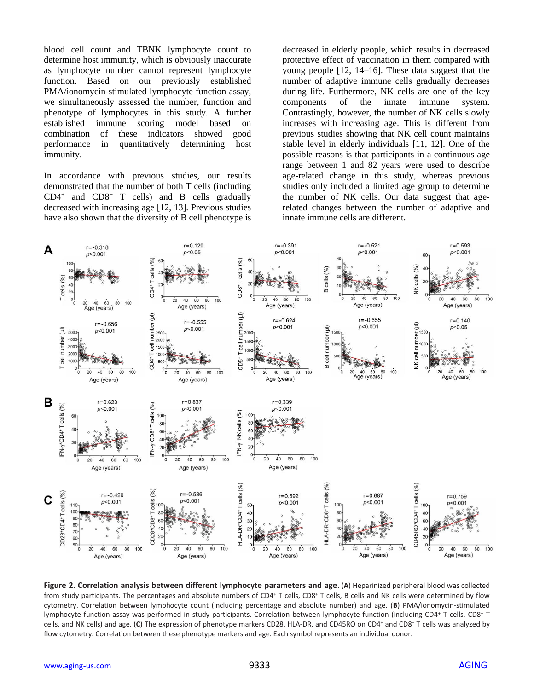blood cell count and TBNK lymphocyte count to determine host immunity, which is obviously inaccurate as lymphocyte number cannot represent lymphocyte function. Based on our previously established PMA/ionomycin-stimulated lymphocyte function assay, we simultaneously assessed the number, function and phenotype of lymphocytes in this study. A further established immune scoring model based on combination of these indicators showed good performance in quantitatively determining host immunity.

In accordance with previous studies, our results demonstrated that the number of both T cells (including CD4<sup>+</sup> and CD8<sup>+</sup> T cells) and B cells gradually decreased with increasing age [12, 13]. Previous studies have also shown that the diversity of B cell phenotype is decreased in elderly people, which results in decreased protective effect of vaccination in them compared with young people [12, 14–16]. These data suggest that the number of adaptive immune cells gradually decreases during life. Furthermore, NK cells are one of the key components of the innate immune system. Contrastingly, however, the number of NK cells slowly increases with increasing age. This is different from previous studies showing that NK cell count maintains stable level in elderly individuals [11, 12]. One of the possible reasons is that participants in a continuous age range between 1 and 82 years were used to describe age-related change in this study, whereas previous studies only included a limited age group to determine the number of NK cells. Our data suggest that agerelated changes between the number of adaptive and innate immune cells are different.



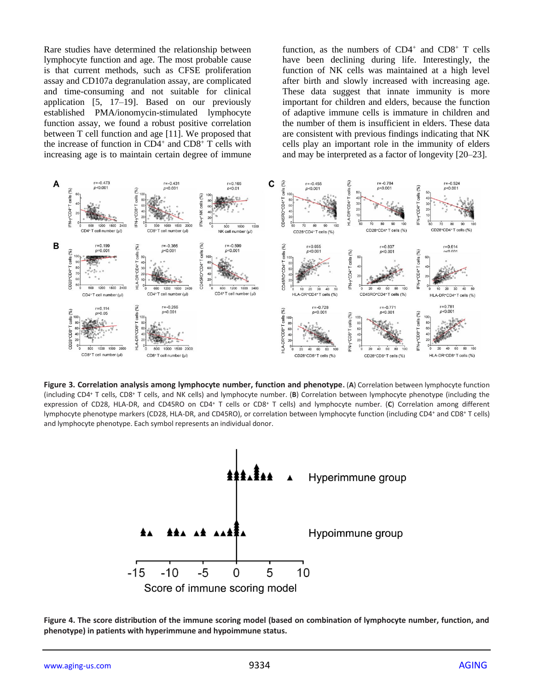Rare studies have determined the relationship between lymphocyte function and age. The most probable cause is that current methods, such as CFSE proliferation assay and CD107a degranulation assay, are complicated and time-consuming and not suitable for clinical application [5, 17–19]. Based on our previously established PMA/ionomycin-stimulated lymphocyte function assay, we found a robust positive correlation between T cell function and age [11]. We proposed that the increase of function in CD4<sup>+</sup> and CD8<sup>+</sup> T cells with increasing age is to maintain certain degree of immune function, as the numbers of  $CD4^+$  and  $CD8^+$  T cells have been declining during life. Interestingly, the function of NK cells was maintained at a high level after birth and slowly increased with increasing age. These data suggest that innate immunity is more important for children and elders, because the function of adaptive immune cells is immature in children and the number of them is insufficient in elders. These data are consistent with previous findings indicating that NK cells play an important role in the immunity of elders and may be interpreted as a factor of longevity [20–23].



**Figure 3. Correlation analysis among lymphocyte number, function and phenotype.** (**A**) Correlation between lymphocyte function (including CD4<sup>+</sup> T cells, CD8<sup>+</sup> T cells, and NK cells) and lymphocyte number. (**B**) Correlation between lymphocyte phenotype (including the expression of CD28, HLA-DR, and CD45RO on CD4<sup>+</sup> T cells or CD8<sup>+</sup> T cells) and lymphocyte number. (**C**) Correlation among different lymphocyte phenotype markers (CD28, HLA-DR, and CD45RO), or correlation between lymphocyte function (including CD4<sup>+</sup> and CD8<sup>+</sup> T cells) and lymphocyte phenotype. Each symbol represents an individual donor.



**Figure 4. The score distribution of the immune scoring model (based on combination of lymphocyte number, function, and phenotype) in patients with hyperimmune and hypoimmune status.**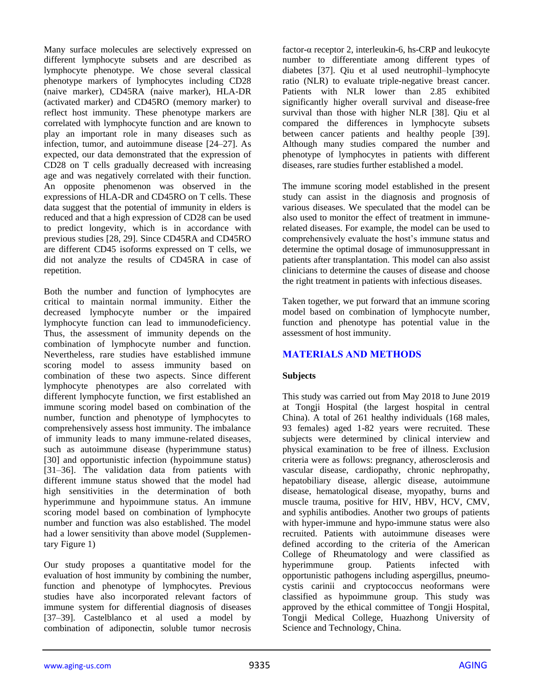Many surface molecules are selectively expressed on different lymphocyte subsets and are described as lymphocyte phenotype. We chose several classical phenotype markers of lymphocytes including CD28 (naive marker), CD45RA (naive marker), HLA-DR (activated marker) and CD45RO (memory marker) to reflect host immunity. These phenotype markers are correlated with lymphocyte function and are known to play an important role in many diseases such as infection, tumor, and autoimmune disease [24–27]. As expected, our data demonstrated that the expression of CD28 on T cells gradually decreased with increasing age and was negatively correlated with their function. An opposite phenomenon was observed in the expressions of HLA-DR and CD45RO on T cells. These data suggest that the potential of immunity in elders is reduced and that a high expression of CD28 can be used to predict longevity, which is in accordance with previous studies [28, 29]. Since CD45RA and CD45RO are different CD45 isoforms expressed on T cells, we did not analyze the results of CD45RA in case of repetition.

Both the number and function of lymphocytes are critical to maintain normal immunity. Either the decreased lymphocyte number or the impaired lymphocyte function can lead to immunodeficiency. Thus, the assessment of immunity depends on the combination of lymphocyte number and function. Nevertheless, rare studies have established immune scoring model to assess immunity based on combination of these two aspects. Since different lymphocyte phenotypes are also correlated with different lymphocyte function, we first established an immune scoring model based on combination of the number, function and phenotype of lymphocytes to comprehensively assess host immunity. The imbalance of immunity leads to many immune-related diseases, such as autoimmune disease (hyperimmune status) [30] and opportunistic infection (hypoimmune status) [31–36]. The validation data from patients with different immune status showed that the model had high sensitivities in the determination of both hyperimmune and hypoimmune status. An immune scoring model based on combination of lymphocyte number and function was also established. The model had a lower sensitivity than above model (Supplementary Figure 1)

Our study proposes a quantitative model for the evaluation of host immunity by combining the number, function and phenotype of lymphocytes. Previous studies have also incorporated relevant factors of immune system for differential diagnosis of diseases [37–39]. Castelblanco et al used a model by combination of adiponectin, soluble tumor necrosis

factor-α receptor 2, interleukin-6, hs-CRP and leukocyte number to differentiate among different types of diabetes [37]. Qiu et al used neutrophil–lymphocyte ratio (NLR) to evaluate triple-negative breast cancer. Patients with NLR lower than 2.85 exhibited significantly higher overall survival and disease-free survival than those with higher NLR [38]. Qiu et al compared the differences in lymphocyte subsets between cancer patients and healthy people [39]. Although many studies compared the number and phenotype of lymphocytes in patients with different diseases, rare studies further established a model.

The immune scoring model established in the present study can assist in the diagnosis and prognosis of various diseases. We speculated that the model can be also used to monitor the effect of treatment in immunerelated diseases. For example, the model can be used to comprehensively evaluate the host's immune status and determine the optimal dosage of immunosuppressant in patients after transplantation. This model can also assist clinicians to determine the causes of disease and choose the right treatment in patients with infectious diseases.

Taken together, we put forward that an immune scoring model based on combination of lymphocyte number, function and phenotype has potential value in the assessment of host immunity.

## **MATERIALS AND METHODS**

## **Subjects**

This study was carried out from May 2018 to June 2019 at Tongji Hospital (the largest hospital in central China). A total of 261 healthy individuals (168 males, 93 females) aged 1-82 years were recruited. These subjects were determined by clinical interview and physical examination to be free of illness. Exclusion criteria were as follows: pregnancy, atherosclerosis and vascular disease, cardiopathy, chronic nephropathy, hepatobiliary disease, allergic disease, autoimmune disease, hematological disease, myopathy, burns and muscle trauma, positive for HIV, HBV, HCV, CMV, and syphilis antibodies. Another two groups of patients with hyper-immune and hypo-immune status were also recruited. Patients with autoimmune diseases were defined according to the criteria of the American College of Rheumatology and were classified as hyperimmune group. Patients infected with opportunistic pathogens including aspergillus, pneumocystis carinii and cryptococcus neoformans were classified as hypoimmune group. This study was approved by the ethical committee of Tongji Hospital, Tongji Medical College, Huazhong University of Science and Technology, China.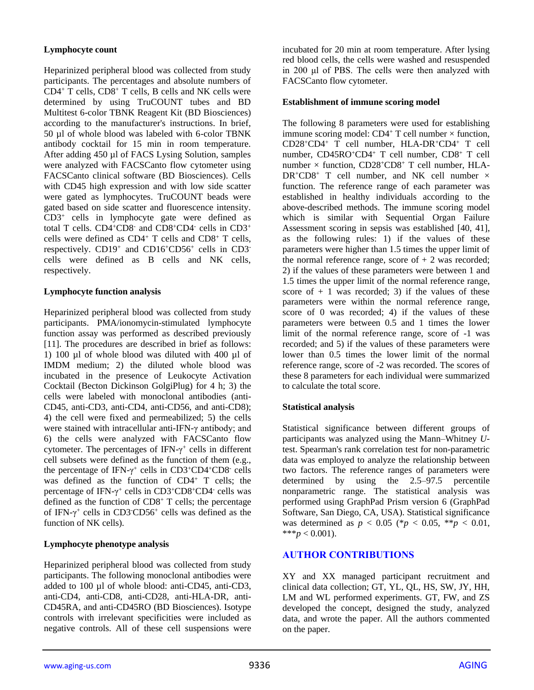### **Lymphocyte count**

Heparinized peripheral blood was collected from study participants. The percentages and absolute numbers of CD4<sup>+</sup> T cells, CD8<sup>+</sup> T cells, B cells and NK cells were determined by using TruCOUNT tubes and BD Multitest 6-color TBNK Reagent Kit (BD Biosciences) according to the manufacturer's instructions. In brief, 50 µl of whole blood was labeled with 6-color TBNK antibody cocktail for 15 min in room temperature. After adding 450 µl of FACS Lysing Solution, samples were analyzed with FACSCanto flow cytometer using FACSCanto clinical software (BD Biosciences). Cells with CD45 high expression and with low side scatter were gated as lymphocytes. TruCOUNT beads were gated based on side scatter and fluorescence intensity. CD3<sup>+</sup> cells in lymphocyte gate were defined as total T cells. CD4<sup>+</sup>CD8- and CD8<sup>+</sup>CD4- cells in CD3<sup>+</sup> cells were defined as  $CD4^+$  T cells and  $CD8^+$  T cells, respectively. CD19<sup>+</sup> and CD16<sup>+</sup>CD56<sup>+</sup> cells in CD3 cells were defined as B cells and NK cells, respectively.

### **Lymphocyte function analysis**

Heparinized peripheral blood was collected from study participants. PMA/ionomycin-stimulated lymphocyte function assay was performed as described previously [11]. The procedures are described in brief as follows: 1) 100 µl of whole blood was diluted with 400 µl of IMDM medium; 2) the diluted whole blood was incubated in the presence of Leukocyte Activation Cocktail (Becton Dickinson GolgiPlug) for 4 h; 3) the cells were labeled with monoclonal antibodies (anti-CD45, anti-CD3, anti-CD4, anti-CD56, and anti-CD8); 4) the cell were fixed and permeabilized; 5) the cells were stained with intracellular anti-IFN-γ antibody; and 6) the cells were analyzed with FACSCanto flow cytometer. The percentages of IFN- $\gamma^+$  cells in different cell subsets were defined as the function of them (e.g., the percentage of IFN- $\gamma$ <sup>+</sup> cells in CD3<sup>+</sup>CD4<sup>+</sup>CD8<sup>-</sup> cells was defined as the function of CD4<sup>+</sup> T cells; the percentage of IFN-γ <sup>+</sup> cells in CD3<sup>+</sup>CD8<sup>+</sup>CD4- cells was defined as the function of  $CD8<sup>+</sup>$  T cells; the percentage of IFN- $\gamma$ <sup>+</sup> cells in CD3<sup>-</sup>CD56<sup>+</sup> cells was defined as the function of NK cells).

## **Lymphocyte phenotype analysis**

Heparinized peripheral blood was collected from study participants. The following monoclonal antibodies were added to 100 µl of whole blood: anti-CD45, anti-CD3, anti-CD4, anti-CD8, anti-CD28, anti-HLA-DR, anti-CD45RA, and anti-CD45RO (BD Biosciences). Isotype controls with irrelevant specificities were included as negative controls. All of these cell suspensions were incubated for 20 min at room temperature. After lysing red blood cells, the cells were washed and resuspended in 200 μl of PBS. The cells were then analyzed with FACSCanto flow cytometer.

#### **Establishment of immune scoring model**

The following 8 parameters were used for establishing immune scoring model:  $CD4+T$  cell number  $\times$  function, CD28<sup>+</sup>CD4<sup>+</sup> T cell number, HLA-DR<sup>+</sup>CD4<sup>+</sup> T cell number, CD45RO<sup>+</sup>CD4<sup>+</sup> T cell number, CD8<sup>+</sup> T cell number  $\times$  function, CD28<sup>+</sup>CD8<sup>+</sup> T cell number, HLA- $DR^+CD8^+$  T cell number, and NK cell number  $\times$ function. The reference range of each parameter was established in healthy individuals according to the above-described methods. The immune scoring model which is similar with Sequential Organ Failure Assessment scoring in sepsis was established [40, 41], as the following rules: 1) if the values of these parameters were higher than 1.5 times the upper limit of the normal reference range, score of  $+2$  was recorded; 2) if the values of these parameters were between 1 and 1.5 times the upper limit of the normal reference range, score of  $+1$  was recorded; 3) if the values of these parameters were within the normal reference range, score of 0 was recorded; 4) if the values of these parameters were between 0.5 and 1 times the lower limit of the normal reference range, score of -1 was recorded; and 5) if the values of these parameters were lower than 0.5 times the lower limit of the normal reference range, score of -2 was recorded. The scores of these 8 parameters for each individual were summarized to calculate the total score.

## **Statistical analysis**

Statistical significance between different groups of participants was analyzed using the Mann–Whitney *U*test. Spearman's rank correlation test for non-parametric data was employed to analyze the relationship between two factors. The reference ranges of parameters were determined by using the 2.5–97.5 percentile nonparametric range. The statistical analysis was performed using GraphPad Prism version 6 (GraphPad Software, San Diego, CA, USA). Statistical significance was determined as  $p < 0.05$  (\* $p < 0.05$ , \*\* $p < 0.01$ , \*\*\* $p < 0.001$ ).

## **AUTHOR CONTRIBUTIONS**

XY and XX managed participant recruitment and clinical data collection; GT, YL, QL, HS, SW, JY, HH, LM and WL performed experiments. GT, FW, and ZS developed the concept, designed the study, analyzed data, and wrote the paper. All the authors commented on the paper.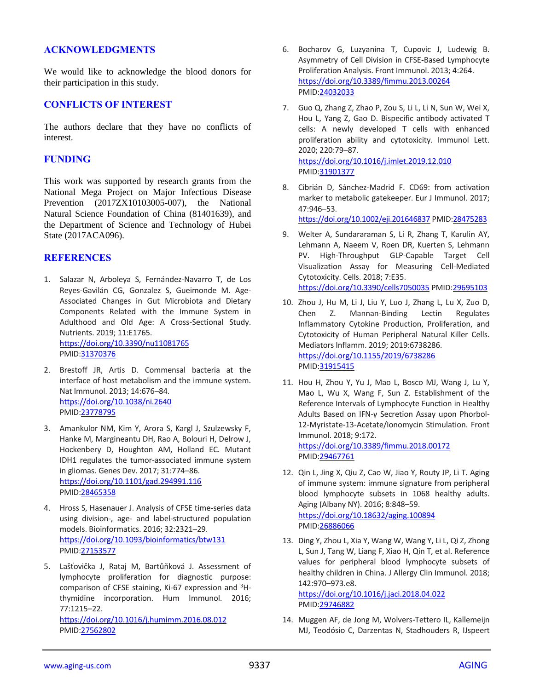#### **ACKNOWLEDGMENTS**

We would like to acknowledge the blood donors for their participation in this study.

#### **CONFLICTS OF INTEREST**

The authors declare that they have no conflicts of interest.

#### **FUNDING**

This work was supported by research grants from the National Mega Project on Major Infectious Disease Prevention (2017ZX10103005-007), the National Natural Science Foundation of China (81401639), and the Department of Science and Technology of Hubei State (2017ACA096).

#### **REFERENCES**

- 1. Salazar N, Arboleya S, Fernández-Navarro T, de Los Reyes-Gavilán CG, Gonzalez S, Gueimonde M. Age-Associated Changes in Gut Microbiota and Dietary Components Related with the Immune System in Adulthood and Old Age: A Cross-Sectional Study. Nutrients. 2019; 11:E1765. <https://doi.org/10.3390/nu11081765> PMID[:31370376](https://www.ncbi.nlm.nih.gov/pubmed/31370376)
- 2. Brestoff JR, Artis D. Commensal bacteria at the interface of host metabolism and the immune system. Nat Immunol. 2013; 14:676–84. <https://doi.org/10.1038/ni.2640> PMID[:23778795](https://www.ncbi.nlm.nih.gov/pubmed/23778795)
- 3. Amankulor NM, Kim Y, Arora S, Kargl J, Szulzewsky F, Hanke M, Margineantu DH, Rao A, Bolouri H, Delrow J, Hockenbery D, Houghton AM, Holland EC. Mutant IDH1 regulates the tumor-associated immune system in gliomas. Genes Dev. 2017; 31:774–86. <https://doi.org/10.1101/gad.294991.116> PMID[:28465358](https://www.ncbi.nlm.nih.gov/pubmed/28465358)
- 4. Hross S, Hasenauer J. Analysis of CFSE time-series data using division-, age- and label-structured population models. Bioinformatics. 2016; 32:2321–29. <https://doi.org/10.1093/bioinformatics/btw131> PMID[:27153577](https://www.ncbi.nlm.nih.gov/pubmed/27153577)
- 5. Lašťovička J, Rataj M, Bartůňková J. Assessment of lymphocyte proliferation for diagnostic purpose: comparison of CFSE staining, Ki-67 expression and  ${}^{3}$ Hthymidine incorporation. Hum Immunol. 2016; 77:1215–22.

<https://doi.org/10.1016/j.humimm.2016.08.012> PMID[:27562802](https://www.ncbi.nlm.nih.gov/pubmed/27562802)

- 6. Bocharov G, Luzyanina T, Cupovic J, Ludewig B. Asymmetry of Cell Division in CFSE-Based Lymphocyte Proliferation Analysis. Front Immunol. 2013; 4:264. <https://doi.org/10.3389/fimmu.2013.00264> PMI[D:24032033](https://www.ncbi.nlm.nih.gov/pubmed/24032033)
- 7. Guo Q, Zhang Z, Zhao P, Zou S, Li L, Li N, Sun W, Wei X, Hou L, Yang Z, Gao D. Bispecific antibody activated T cells: A newly developed T cells with enhanced proliferation ability and cytotoxicity. Immunol Lett. 2020; 220:79–87. <https://doi.org/10.1016/j.imlet.2019.12.010> PMI[D:31901377](https://www.ncbi.nlm.nih.gov/pubmed/31901377)
- 8. Cibrián D, Sánchez-Madrid F. CD69: from activation marker to metabolic gatekeeper. Eur J Immunol. 2017; 47:946–53.

<https://doi.org/10.1002/eji.201646837> PMI[D:28475283](https://www.ncbi.nlm.nih.gov/pubmed/28475283)

- 9. Welter A, Sundararaman S, Li R, Zhang T, Karulin AY, Lehmann A, Naeem V, Roen DR, Kuerten S, Lehmann PV. High-Throughput GLP-Capable Target Cell Visualization Assay for Measuring Cell-Mediated Cytotoxicity. Cells. 2018; 7:E35. <https://doi.org/10.3390/cells7050035> PMID[:29695103](https://www.ncbi.nlm.nih.gov/pubmed/29695103)
- 10. Zhou J, Hu M, Li J, Liu Y, Luo J, Zhang L, Lu X, Zuo D, Chen Z. Mannan-Binding Lectin Regulates Inflammatory Cytokine Production, Proliferation, and Cytotoxicity of Human Peripheral Natural Killer Cells. Mediators Inflamm. 2019; 2019:6738286. <https://doi.org/10.1155/2019/6738286> PMI[D:31915415](https://www.ncbi.nlm.nih.gov/pubmed/31915415)
- 11. Hou H, Zhou Y, Yu J, Mao L, Bosco MJ, Wang J, Lu Y, Mao L, Wu X, Wang F, Sun Z. Establishment of the Reference Intervals of Lymphocyte Function in Healthy Adults Based on IFN-γ Secretion Assay upon Phorbol-12-Myristate-13-Acetate/Ionomycin Stimulation. Front Immunol. 2018; 9:172. <https://doi.org/10.3389/fimmu.2018.00172> PMI[D:29467761](https://www.ncbi.nlm.nih.gov/pubmed/29467761)
- 12. Qin L, Jing X, Qiu Z, Cao W, Jiao Y, Routy JP, Li T. Aging of immune system: immune signature from peripheral blood lymphocyte subsets in 1068 healthy adults. Aging (Albany NY). 2016; 8:848–59. <https://doi.org/10.18632/aging.100894>

PMI[D:26886066](https://www.ncbi.nlm.nih.gov/pubmed/26886066)

13. Ding Y, Zhou L, Xia Y, Wang W, Wang Y, Li L, Qi Z, Zhong L, Sun J, Tang W, Liang F, Xiao H, Qin T, et al. Reference values for peripheral blood lymphocyte subsets of healthy children in China. J Allergy Clin Immunol. 2018; 142:970–973.e8.

<https://doi.org/10.1016/j.jaci.2018.04.022> PMI[D:29746882](https://www.ncbi.nlm.nih.gov/pubmed/29746882)

14. Muggen AF, de Jong M, Wolvers-Tettero IL, Kallemeijn MJ, Teodósio C, Darzentas N, Stadhouders R, IJspeert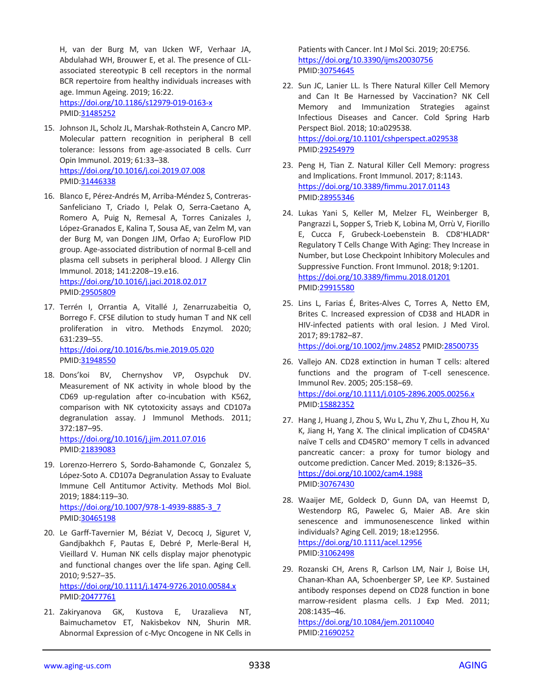H, van der Burg M, van IJcken WF, Verhaar JA, Abdulahad WH, Brouwer E, et al. The presence of CLLassociated stereotypic B cell receptors in the normal BCR repertoire from healthy individuals increases with age. Immun Ageing. 2019; 16:22. <https://doi.org/10.1186/s12979-019-0163-x> PMID[:31485252](https://www.ncbi.nlm.nih.gov/pubmed/31485252)

- 15. Johnson JL, Scholz JL, Marshak-Rothstein A, Cancro MP. Molecular pattern recognition in peripheral B cell tolerance: lessons from age-associated B cells. Curr Opin Immunol. 2019; 61:33–38. <https://doi.org/10.1016/j.coi.2019.07.008> PMID[:31446338](https://www.ncbi.nlm.nih.gov/pubmed/31446338)
- 16. Blanco E, Pérez-Andrés M, Arriba-Méndez S, Contreras-Sanfeliciano T, Criado I, Pelak O, Serra-Caetano A, Romero A, Puig N, Remesal A, Torres Canizales J, López-Granados E, Kalina T, Sousa AE, van Zelm M, van der Burg M, van Dongen JJM, Orfao A; EuroFlow PID group. Age-associated distribution of normal B-cell and plasma cell subsets in peripheral blood. J Allergy Clin Immunol. 2018; 141:2208–19.e16. <https://doi.org/10.1016/j.jaci.2018.02.017> PMID[:29505809](https://www.ncbi.nlm.nih.gov/pubmed/29505809)
- 17. Terrén I, Orrantia A, Vitallé J, Zenarruzabeitia O, Borrego F. CFSE dilution to study human T and NK cell proliferation in vitro. Methods Enzymol. 2020; 631:239–55. <https://doi.org/10.1016/bs.mie.2019.05.020> PMID[:31948550](https://www.ncbi.nlm.nih.gov/pubmed/31948550)
- 18. Dons'koi BV, Chernyshov VP, Osypchuk DV. Measurement of NK activity in whole blood by the CD69 up-regulation after co-incubation with K562, comparison with NK cytotoxicity assays and CD107a degranulation assay. J Immunol Methods. 2011; 372:187–95.

<https://doi.org/10.1016/j.jim.2011.07.016> PMID[:21839083](https://www.ncbi.nlm.nih.gov/pubmed/21839083)

19. Lorenzo-Herrero S, Sordo-Bahamonde C, Gonzalez S, López-Soto A. CD107a Degranulation Assay to Evaluate Immune Cell Antitumor Activity. Methods Mol Biol. 2019; 1884:119–30. [https://doi.org/10.1007/978-1-4939-8885-3\\_7](https://doi.org/10.1007/978-1-4939-8885-3_7)

PMID[:30465198](https://www.ncbi.nlm.nih.gov/pubmed/30465198)

- 20. Le Garff-Tavernier M, Béziat V, Decocq J, Siguret V, Gandjbakhch F, Pautas E, Debré P, Merle-Beral H, Vieillard V. Human NK cells display major phenotypic and functional changes over the life span. Aging Cell. 2010; 9:527–35. <https://doi.org/10.1111/j.1474-9726.2010.00584.x> PMID[:20477761](https://www.ncbi.nlm.nih.gov/pubmed/20477761)
- 21. Zakiryanova GK, Kustova E, Urazalieva NT, Baimuchametov ET, Nakisbekov NN, Shurin MR. Abnormal Expression of c-Myc Oncogene in NK Cells in

Patients with Cancer. Int J Mol Sci. 2019; 20:E756. <https://doi.org/10.3390/ijms20030756> PMI[D:30754645](https://www.ncbi.nlm.nih.gov/pubmed/30754645)

- 22. Sun JC, Lanier LL. Is There Natural Killer Cell Memory and Can It Be Harnessed by Vaccination? NK Cell Memory and Immunization Strategies against Infectious Diseases and Cancer. Cold Spring Harb Perspect Biol. 2018; 10:a029538. <https://doi.org/10.1101/cshperspect.a029538> PMI[D:29254979](https://www.ncbi.nlm.nih.gov/pubmed/29254979)
- 23. Peng H, Tian Z. Natural Killer Cell Memory: progress and Implications. Front Immunol. 2017; 8:1143. <https://doi.org/10.3389/fimmu.2017.01143> PMI[D:28955346](https://www.ncbi.nlm.nih.gov/pubmed/28955346)
- 24. Lukas Yani S, Keller M, Melzer FL, Weinberger B, Pangrazzi L, Sopper S, Trieb K, Lobina M, Orrù V, Fiorillo E, Cucca F, Grubeck-Loebenstein B. CD8<sup>+</sup>HLADR<sup>+</sup> Regulatory T Cells Change With Aging: They Increase in Number, but Lose Checkpoint Inhibitory Molecules and Suppressive Function. Front Immunol. 2018; 9:1201. <https://doi.org/10.3389/fimmu.2018.01201> PMI[D:29915580](https://www.ncbi.nlm.nih.gov/pubmed/29915580)
- 25. Lins L, Farias É, Brites-Alves C, Torres A, Netto EM, Brites C. Increased expression of CD38 and HLADR in HIV-infected patients with oral lesion. J Med Virol. 2017; 89:1782–87. <https://doi.org/10.1002/jmv.24852> PMID[:28500735](https://www.ncbi.nlm.nih.gov/pubmed/28500735)
- 26. Vallejo AN. CD28 extinction in human T cells: altered functions and the program of T-cell senescence. Immunol Rev. 2005; 205:158–69. <https://doi.org/10.1111/j.0105-2896.2005.00256.x> PMI[D:15882352](https://www.ncbi.nlm.nih.gov/pubmed/15882352)
- 27. Hang J, Huang J, Zhou S, Wu L, Zhu Y, Zhu L, Zhou H, Xu K, Jiang H, Yang X. The clinical implication of CD45RA<sup>+</sup> naïve T cells and CD45RO<sup>+</sup> memory T cells in advanced pancreatic cancer: a proxy for tumor biology and outcome prediction. Cancer Med. 2019; 8:1326–35. <https://doi.org/10.1002/cam4.1988> PMI[D:30767430](https://www.ncbi.nlm.nih.gov/pubmed/30767430)
- 28. Waaijer ME, Goldeck D, Gunn DA, van Heemst D, Westendorp RG, Pawelec G, Maier AB. Are skin senescence and immunosenescence linked within individuals? Aging Cell. 2019; 18:e12956. <https://doi.org/10.1111/acel.12956> PMI[D:31062498](https://www.ncbi.nlm.nih.gov/pubmed/31062498)
- 29. Rozanski CH, Arens R, Carlson LM, Nair J, Boise LH, Chanan-Khan AA, Schoenberger SP, Lee KP. Sustained antibody responses depend on CD28 function in bone marrow-resident plasma cells. J Exp Med. 2011; 208:1435–46.

<https://doi.org/10.1084/jem.20110040> PMI[D:21690252](https://www.ncbi.nlm.nih.gov/pubmed/21690252)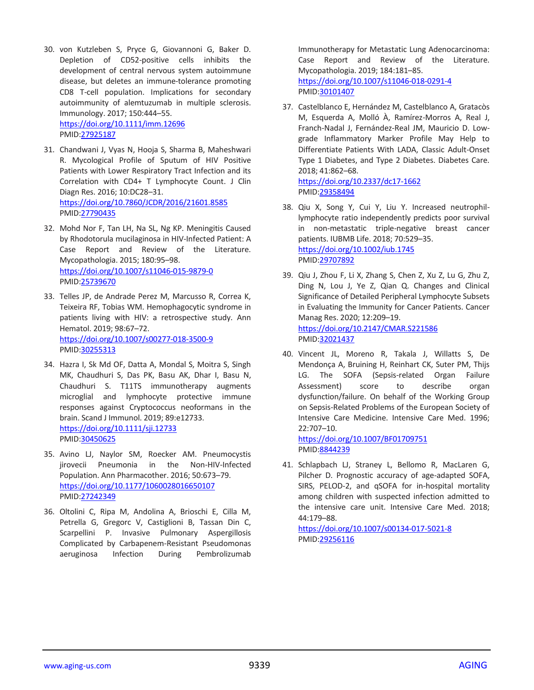- 30. von Kutzleben S, Pryce G, Giovannoni G, Baker D. Depletion of CD52-positive cells inhibits the development of central nervous system autoimmune disease, but deletes an immune-tolerance promoting CD8 T-cell population. Implications for secondary autoimmunity of alemtuzumab in multiple sclerosis. Immunology. 2017; 150:444–55. <https://doi.org/10.1111/imm.12696> PMID[:27925187](https://www.ncbi.nlm.nih.gov/pubmed/27925187)
- 31. Chandwani J, Vyas N, Hooja S, Sharma B, Maheshwari R. Mycological Profile of Sputum of HIV Positive Patients with Lower Respiratory Tract Infection and its Correlation with CD4+ T Lymphocyte Count. J Clin Diagn Res. 2016; 10:DC28–31. <https://doi.org/10.7860/JCDR/2016/21601.8585> PMID[:27790435](https://www.ncbi.nlm.nih.gov/pubmed/27790435)
- 32. Mohd Nor F, Tan LH, Na SL, Ng KP. Meningitis Caused by Rhodotorula mucilaginosa in HIV-Infected Patient: A Case Report and Review of the Literature. Mycopathologia. 2015; 180:95–98. <https://doi.org/10.1007/s11046-015-9879-0> PMID[:25739670](https://www.ncbi.nlm.nih.gov/pubmed/25739670)
- 33. Telles JP, de Andrade Perez M, Marcusso R, Correa K, Teixeira RF, Tobias WM. Hemophagocytic syndrome in patients living with HIV: a retrospective study. Ann Hematol. 2019; 98:67–72. <https://doi.org/10.1007/s00277-018-3500-9> PMID[:30255313](https://www.ncbi.nlm.nih.gov/pubmed/30255313)
- 34. Hazra I, Sk Md OF, Datta A, Mondal S, Moitra S, Singh MK, Chaudhuri S, Das PK, Basu AK, Dhar I, Basu N, Chaudhuri S. T11TS immunotherapy augments microglial and lymphocyte protective immune responses against Cryptococcus neoformans in the brain. Scand J Immunol. 2019; 89:e12733. <https://doi.org/10.1111/sji.12733> PMID[:30450625](https://www.ncbi.nlm.nih.gov/pubmed/30450625)
- 35. Avino LJ, Naylor SM, Roecker AM. Pneumocystis jirovecii Pneumonia in the Non-HIV-Infected Population. Ann Pharmacother. 2016; 50:673–79. <https://doi.org/10.1177/1060028016650107> PMID[:27242349](https://www.ncbi.nlm.nih.gov/pubmed/27242349)
- 36. Oltolini C, Ripa M, Andolina A, Brioschi E, Cilla M, Petrella G, Gregorc V, Castiglioni B, Tassan Din C, Scarpellini P. Invasive Pulmonary Aspergillosis Complicated by Carbapenem-Resistant Pseudomonas aeruginosa Infection During Pembrolizumab

Immunotherapy for Metastatic Lung Adenocarcinoma: Case Report and Review of the Literature. Mycopathologia. 2019; 184:181–85. <https://doi.org/10.1007/s11046-018-0291-4> PMI[D:30101407](https://www.ncbi.nlm.nih.gov/pubmed/30101407)

37. Castelblanco E, Hernández M, Castelblanco A, Gratacòs M, Esquerda A, Molló À, Ramírez-Morros A, Real J, Franch-Nadal J, Fernández-Real JM, Mauricio D. Lowgrade Inflammatory Marker Profile May Help to Differentiate Patients With LADA, Classic Adult-Onset Type 1 Diabetes, and Type 2 Diabetes. Diabetes Care. 2018; 41:862–68. <https://doi.org/10.2337/dc17-1662>

PMI[D:29358494](https://www.ncbi.nlm.nih.gov/pubmed/29358494)

- 38. Qiu X, Song Y, Cui Y, Liu Y. Increased neutrophillymphocyte ratio independently predicts poor survival in non-metastatic triple-negative breast cancer patients. IUBMB Life. 2018; 70:529–35. <https://doi.org/10.1002/iub.1745> PMI[D:29707892](https://www.ncbi.nlm.nih.gov/pubmed/29707892)
- 39. Qiu J, Zhou F, Li X, Zhang S, Chen Z, Xu Z, Lu G, Zhu Z, Ding N, Lou J, Ye Z, Qian Q. Changes and Clinical Significance of Detailed Peripheral Lymphocyte Subsets in Evaluating the Immunity for Cancer Patients. Cancer Manag Res. 2020; 12:209–19. <https://doi.org/10.2147/CMAR.S221586> PMI[D:32021437](https://www.ncbi.nlm.nih.gov/pubmed/32021437)
- 40. Vincent JL, Moreno R, Takala J, Willatts S, De Mendonça A, Bruining H, Reinhart CK, Suter PM, Thijs LG. The SOFA (Sepsis-related Organ Failure Assessment) score to describe organ dysfunction/failure. On behalf of the Working Group on Sepsis-Related Problems of the European Society of Intensive Care Medicine. Intensive Care Med. 1996; 22:707–10.

<https://doi.org/10.1007/BF01709751> PMI[D:8844239](https://www.ncbi.nlm.nih.gov/pubmed/8844239)

41. Schlapbach LJ, Straney L, Bellomo R, MacLaren G, Pilcher D. Prognostic accuracy of age-adapted SOFA, SIRS, PELOD-2, and qSOFA for in-hospital mortality among children with suspected infection admitted to the intensive care unit. Intensive Care Med. 2018; 44:179–88.

<https://doi.org/10.1007/s00134-017-5021-8> PMI[D:29256116](https://www.ncbi.nlm.nih.gov/pubmed/29256116)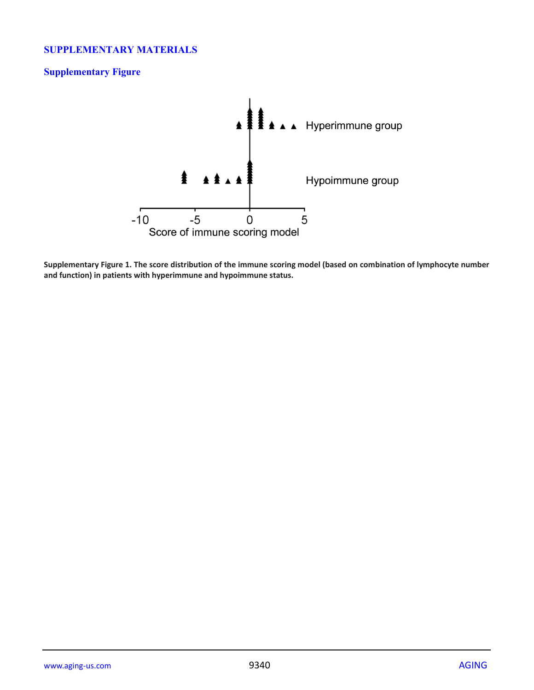## **SUPPLEMENTARY MATERIALS**

## **Supplementary Figure**



**Supplementary Figure 1. The score distribution of the immune scoring model (based on combination of lymphocyte number and function) in patients with hyperimmune and hypoimmune status.**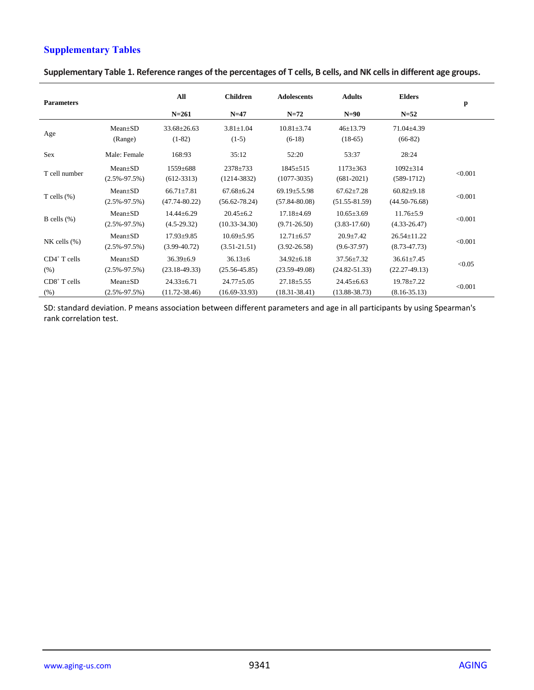## **Supplementary Tables**

| <b>Parameters</b> |                    | All<br>$N = 261$  | <b>Children</b><br>$N=47$ | <b>Adolescents</b><br>$N=72$ | <b>Adults</b><br>$N=90$ | <b>Elders</b><br>$N=52$ | p       |
|-------------------|--------------------|-------------------|---------------------------|------------------------------|-------------------------|-------------------------|---------|
|                   | $Mean \pm SD$      | $33.68 \pm 26.63$ | $3.81 \pm 1.04$           | $10.81 \pm 3.74$             | $46 \pm 13.79$          | $71.04 \pm 4.39$        |         |
| Age               | (Range)            | $(1-82)$          | $(1-5)$                   | $(6-18)$                     | $(18-65)$               | $(66-82)$               |         |
| Sex               | Male: Female       | 168:93            | 35:12                     | 52:20                        | 53:37                   | 28:24                   |         |
| T cell number     | $Mean+SD$          | $1559 \pm 688$    | $2378 \pm 733$            | $1845 \pm 515$               | $1173 \pm 363$          | $1092 \pm 314$          | < 0.001 |
|                   | $(2.5\% - 97.5\%)$ | $(612-3313)$      | $(1214 - 3832)$           | $(1077-3035)$                | $(681-2021)$            | $(589-1712)$            |         |
|                   | $Mean+SD$          | $66.71 \pm 7.81$  | $67.68 \pm 6.24$          | $69.19 \pm 5.5.98$           | $67.62 + 7.28$          | $60.82 + 9.18$          | < 0.001 |
| T cells $(\%)$    | $(2.5\% - 97.5\%)$ | $(47.74 - 80.22)$ | $(56.62 - 78.24)$         | $(57.84 - 80.08)$            | $(51.55 - 81.59)$       | $(44.50 - 76.68)$       |         |
|                   | $Mean+SD$          | $14.44 \pm 6.29$  | $20.45 \pm 6.2$           | $17.18 + 4.69$               | $10.65 \pm 3.69$        | $11.76 \pm 5.9$         |         |
| B cells $(\%)$    | $(2.5\% - 97.5\%)$ | $(4.5-29.32)$     | $(10.33 - 34.30)$         | $(9.71 - 26.50)$             | $(3.83 - 17.60)$        | $(4.33 - 26.47)$        | < 0.001 |
|                   | $Mean \pm SD$      | $17.93 \pm 9.85$  | $10.69 + 5.95$            | $12.71 \pm 6.57$             | $20.9 + 7.42$           | $26.54 \pm 11.22$       |         |
| $NK$ cells $(\%)$ | $(2.5\% - 97.5\%)$ | $(3.99 - 40.72)$  | $(3.51 - 21.51)$          | $(3.92 - 26.58)$             | $(9.6 - 37.97)$         | $(8.73 - 47.73)$        | < 0.001 |
| $CD4^+$ T cells   | $Mean \pm SD$      | $36.39 \pm 6.9$   | $36.13\pm 6$              | $34.92 \pm 6.18$             | $37.56 \pm 7.32$        | $36.61 \pm 7.45$        |         |
| (% )              | $(2.5\% - 97.5\%)$ | $(23.18-49.33)$   | $(25.56 - 45.85)$         | $(23.59-49.08)$              | $(24.82 - 51.33)$       | $(22.27-49.13)$         | < 0.05  |
| $CD8+$ T cells    | $Mean+SD$          | $24.33 \pm 6.71$  | $24.77 + 5.05$            | $27.18 \pm 5.55$             | $24.45 + 6.63$          | $19.78 + 7.22$          |         |
| (% )              | $(2.5\% - 97.5\%)$ | $(11.72 - 38.46)$ | $(16.69 - 33.93)$         | $(18.31 - 38.41)$            | $(13.88 - 38.73)$       | $(8.16 - 35.13)$        | < 0.001 |

**Supplementary Table 1. Reference ranges of the percentages of T cells, B cells, and NK cells in different age groups.**

SD: standard deviation. P means association between different parameters and age in all participants by using Spearman's rank correlation test.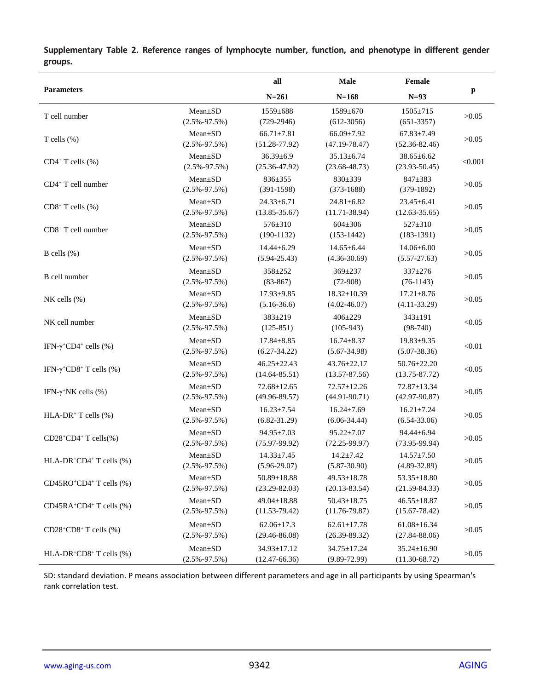|                                                         |                                     | all                                    | <b>Male</b>                            | Female                                 |              |
|---------------------------------------------------------|-------------------------------------|----------------------------------------|----------------------------------------|----------------------------------------|--------------|
| <b>Parameters</b>                                       |                                     | $N = 261$                              | $N = 168$                              | $N=93$                                 | $\mathbf{p}$ |
| T cell number                                           | Mean±SD<br>$(2.5\% - 97.5\%)$       | 1559±688<br>$(729-2946)$               | 1589±670<br>$(612-3056)$               | $1505 \pm 715$<br>$(651-3357)$         | >0.05        |
| T cells $(\%)$                                          | Mean±SD<br>$(2.5\% - 97.5\%)$       | $66.71 \pm 7.81$<br>$(51.28 - 77.92)$  | $66.09 \pm 7.92$<br>$(47.19 - 78.47)$  | $67.83 \pm 7.49$<br>$(52.36 - 82.46)$  | >0.05        |
| $CD4+$ T cells $(\% )$                                  | Mean±SD<br>$(2.5\% - 97.5\%)$       | $36.39 \pm 6.9$<br>$(25.36 - 47.92)$   | $35.13 \pm 6.74$<br>$(23.68 - 48.73)$  | $38.65 \pm 6.62$<br>$(23.93 - 50.45)$  | < 0.001      |
| $CD4+T$ cell number                                     | Mean±SD<br>$(2.5\% - 97.5\%)$       | 836±355<br>$(391-1598)$                | 830±339<br>$(373-1688)$                | 847±383<br>$(379-1892)$                | >0.05        |
| $CD8^+$ T cells $(\% )$                                 | Mean±SD<br>$(2.5\% - 97.5\%)$       | $24.33 \pm 6.71$<br>$(13.85 - 35.67)$  | $24.81 \pm 6.82$<br>$(11.71 - 38.94)$  | $23.45 \pm 6.41$<br>$(12.63 - 35.65)$  | >0.05        |
| CD8+ T cell number                                      | Mean±SD<br>$(2.5\% - 97.5\%)$       | 576±310<br>$(190-1132)$                | $604 \pm 306$<br>$(153-1442)$          | $527 \pm 310$<br>$(183-1391)$          | >0.05        |
| B cells $(\% )$                                         | Mean±SD<br>$(2.5\% - 97.5\%)$       | $14.44 \pm 6.29$<br>$(5.94 - 25.43)$   | $14.65 \pm 6.44$<br>$(4.36-30.69)$     | $14.06 \pm 6.00$<br>$(5.57 - 27.63)$   | >0.05        |
| B cell number                                           | Mean±SD<br>$(2.5\% - 97.5\%)$       | 358±252<br>$(83-867)$                  | 369±237<br>$(72-908)$                  | $337+276$<br>$(76-1143)$               | >0.05        |
| $NK$ cells $(\% )$                                      | Mean±SD<br>$(2.5\% - 97.5\%)$       | 17.93±9.85<br>$(5.16-36.6)$            | $18.32 \pm 10.39$<br>$(4.02 - 46.07)$  | $17.21 \pm 8.76$<br>$(4.11 - 33.29)$   | >0.05        |
| NK cell number                                          | Mean±SD<br>$(2.5\% - 97.5\%)$       | 383±219<br>$(125-851)$                 | $406 \pm 229$<br>$(105-943)$           | $343 \pm 191$<br>$(98-740)$            | < 0.05       |
| IFN- $\gamma$ <sup>+</sup> CD4 <sup>+</sup> cells (%)   | Mean±SD<br>$(2.5\% - 97.5\%)$       | $17.84 \pm 8.85$<br>$(6.27 - 34.22)$   | $16.74 \pm 8.37$<br>$(5.67 - 34.98)$   | $19.83 \pm 9.35$<br>$(5.07 - 38.36)$   | < 0.01       |
| IFN- $\gamma$ <sup>+</sup> CD8 <sup>+</sup> T cells (%) | Mean±SD<br>$(2.5\% - 97.5\%)$       | $46.25 \pm 22.43$<br>$(14.64 - 85.51)$ | 43.76±22.17<br>$(13.57 - 87.56)$       | 50.76±22.20<br>$(13.75 - 87.72)$       | < 0.05       |
| IFN- $\gamma$ <sup>+</sup> NK cells (%)                 | Mean±SD<br>$(2.5\% - 97.5\%)$       | $72.68 \pm 12.65$<br>$(49.96 - 89.57)$ | 72.57±12.26<br>$(44.91 - 90.71)$       | 72.87±13.34<br>$(42.97 - 90.87)$       | >0.05        |
| HLA-DR <sup>+</sup> T cells $(\% )$                     | Mean±SD<br>$(2.5\% - 97.5\%)$       | $16.23 \pm 7.54$<br>$(6.82 - 31.29)$   | $16.24 \pm 7.69$<br>$(6.06 - 34.44)$   | $16.21 \pm 7.24$<br>$(6.54 - 33.06)$   | >0.05        |
| $CD28+CD4+T$ cells(%)                                   | $Mean \pm SD$<br>$(2.5\% - 97.5\%)$ | 94.95±7.03<br>$(75.97-99.92)$          | $95.22 \pm 7.07$<br>$(72.25 - 99.97)$  | $94.44 \pm 6.94$<br>$(73.95-99.94)$    | >0.05        |
| HLA-DR <sup>+</sup> CD4 <sup>+</sup> T cells (%)        | $Mean \pm SD$<br>$(2.5\% - 97.5\%)$ | $14.33 \pm 7.45$<br>$(5.96-29.07)$     | $14.2 \pm 7.42$<br>$(5.87 - 30.90)$    | $14.57 \pm 7.50$<br>$(4.89 - 32.89)$   | >0.05        |
| $CD45RO+CD4+ T cells (%)$                               | Mean±SD<br>$(2.5\% - 97.5\%)$       | $50.89 \pm 18.88$<br>$(23.29 - 82.03)$ | 49.53±18.78<br>$(20.13 - 83.54)$       | 53.35±18.80<br>$(21.59 - 84.33)$       | >0.05        |
| CD45RA+CD4+ T cells (%)                                 | Mean±SD<br>$(2.5\% - 97.5\%)$       | $49.04 \pm 18.88$<br>$(11.53-79.42)$   | $50.43 \pm 18.75$<br>$(11.76 - 79.87)$ | $46.55 \pm 18.87$<br>$(15.67 - 78.42)$ | >0.05        |
| $CD28+CD8+T$ cells $(\%)$                               | Mean±SD<br>$(2.5\% - 97.5\%)$       | $62.06 \pm 17.3$<br>$(29.46 - 86.08)$  | $62.61 \pm 17.78$<br>$(26.39 - 89.32)$ | $61.08 \pm 16.34$<br>$(27.84 - 88.06)$ | >0.05        |
| $HLA-DR+CD8+T$ cells $(\%)$                             | Mean±SD<br>$(2.5\% - 97.5\%)$       | 34.93±17.12<br>$(12.47-66.36)$         | 34.75±17.24<br>$(9.89 - 72.99)$        | $35.24 \pm 16.90$<br>$(11.30 - 68.72)$ | >0.05        |

**Supplementary Table 2. Reference ranges of lymphocyte number, function, and phenotype in different gender groups.**

SD: standard deviation. P means association between different parameters and age in all participants by using Spearman's rank correlation test.